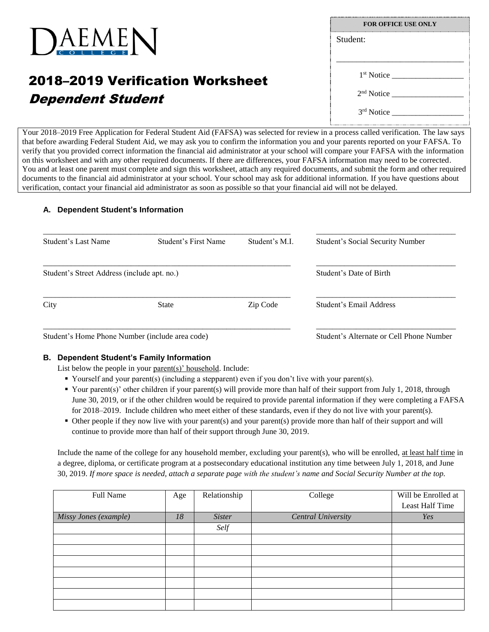

# 2018–2019 Verification Worksheet Dependent Student

| <b>FOR OFFICE USE ONLY</b> |  |  |  |  |
|----------------------------|--|--|--|--|
| Student:                   |  |  |  |  |
|                            |  |  |  |  |
| 1 <sup>st</sup> Notice     |  |  |  |  |
| 2 <sup>nd</sup> Notice     |  |  |  |  |
| 3 <sup>rd</sup> Notice     |  |  |  |  |

Your 2018–2019 Free Application for Federal Student Aid (FAFSA) was selected for review in a process called verification. The law says that before awarding Federal Student Aid, we may ask you to confirm the information you and your parents reported on your FAFSA. To verify that you provided correct information the financial aid administrator at your school will compare your FAFSA with the information on this worksheet and with any other required documents. If there are differences, your FAFSA information may need to be corrected. You and at least one parent must complete and sign this worksheet, attach any required documents, and submit the form and other required documents to the financial aid administrator at your school. Your school may ask for additional information. If you have questions about verification, contact your financial aid administrator as soon as possible so that your financial aid will not be delayed.

## **A. Dependent Student's Information**

|                                             |          | <b>Student's Social Security Number</b> |  |  |
|---------------------------------------------|----------|-----------------------------------------|--|--|
| Student's Street Address (include apt. no.) |          |                                         |  |  |
| <b>State</b>                                | Zip Code | Student's Email Address                 |  |  |
|                                             |          |                                         |  |  |

Student's Home Phone Number (include area code) Student's Alternate or Cell Phone Number

# **B. Dependent Student's Family Information**

List below the people in your parent(s)' household. Include:

- Yourself and your parent(s) (including a stepparent) even if you don't live with your parent(s).
- Your parent(s)' other children if your parent(s) will provide more than half of their support from July 1, 2018, through June 30, 2019, or if the other children would be required to provide parental information if they were completing a FAFSA for 2018–2019. Include children who meet either of these standards, even if they do not live with your parent(s).
- Other people if they now live with your parent(s) and your parent(s) provide more than half of their support and will continue to provide more than half of their support through June 30, 2019.

Include the name of the college for any household member, excluding your parent(s), who will be enrolled, at least half time in a degree, diploma, or certificate program at a postsecondary educational institution any time between July 1, 2018, and June 30, 2019. *If more space is needed, attach a separate page with the student's name and Social Security Number at the top.*

| Full Name             | Age | Relationship  | College                   | Will be Enrolled at<br>Least Half Time |
|-----------------------|-----|---------------|---------------------------|----------------------------------------|
| Missy Jones (example) | 18  | <b>Sister</b> | <b>Central University</b> | Yes                                    |
|                       |     | Self          |                           |                                        |
|                       |     |               |                           |                                        |
|                       |     |               |                           |                                        |
|                       |     |               |                           |                                        |
|                       |     |               |                           |                                        |
|                       |     |               |                           |                                        |
|                       |     |               |                           |                                        |
|                       |     |               |                           |                                        |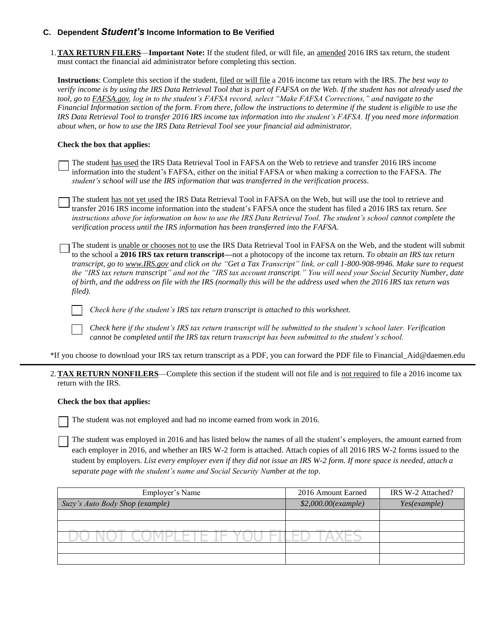# **C. Dependent** *Student's* **Income Information to Be Verified**

1.**TAX RETURN FILERS**—**Important Note:** If the student filed, or will file, an amended 2016 IRS tax return, the student must contact the financial aid administrator before completing this section.

**Instructions**: Complete this section if the student, filed or will file a 2016 income tax return with the IRS. *The best way to verify income is by using the IRS Data Retrieval Tool that is part of FAFSA on the Web. If the student has not already used the tool, go to FAFSA.gov, log in to the student's FAFSA record, select "Make FAFSA Corrections," and navigate to the Financial Information section of the form. From there, follow the instructions to determine if the student is eligible to use the IRS Data Retrieval Tool to transfer 2016 IRS income tax information into the student's FAFSA. If you need more information about when, or how to use the IRS Data Retrieval Tool see your financial aid administrator.*

### **Check the box that applies:**

The student has used the IRS Data Retrieval Tool in FAFSA on the Web to retrieve and transfer 2016 IRS income information into the student's FAFSA, either on the initial FAFSA or when making a correction to the FAFSA. *The student's school will use the IRS information that was transferred in the verification process*.

The student has not yet used the IRS Data Retrieval Tool in FAFSA on the Web, but will use the tool to retrieve and transfer 2016 IRS income information into the student's FAFSA once the student has filed a 2016 IRS tax return. *See instructions above for information on how to use the IRS Data Retrieval Tool. The student's school cannot complete the verification process until the IRS information has been transferred into the FAFSA.*

The student is unable or chooses not to use the IRS Data Retrieval Tool in FAFSA on the Web, and the student will submit to the school a **2016 IRS tax return transcript—**not a photocopy of the income tax return. *To obtain an IRS tax return transcript, go to www.IRS.gov and click on the "Get a Tax Transcript" link, or call 1-800-908-9946. Make sure to request the "IRS tax return transcript" and not the "IRS tax account transcript." You will need your Social Security Number, date of birth, and the address on file with the IRS (normally this will be the address used when the 2016 IRS tax return was filed).*

*Check here if the student's IRS tax return transcript is attached to this worksheet.*

*Check here if the student's IRS tax return transcript will be submitted to the student's school later. Verification cannot be completed until the IRS tax return transcript has been submitted to the student's school.*

\*If you choose to download your IRS tax return transcript as a PDF, you can forward the PDF file to Financial\_Aid@daemen.edu

2.**TAX RETURN NONFILERS**—Complete this section if the student will not file and is not required to file a 2016 income tax return with the IRS.

#### **Check the box that applies:**

The student was not employed and had no income earned from work in 2016.

The student was employed in 2016 and has listed below the names of all the student's employers, the amount earned from each employer in 2016, and whether an IRS W-2 form is attached. Attach copies of all 2016 IRS W-2 forms issued to the student by employers. *List every employer even if they did not issue an IRS W-2 form. If more space is needed, attach a separate page with the student's name and Social Security Number at the top*.

| Employer's Name                 | 2016 Amount Earned  | IRS W-2 Attached? |
|---------------------------------|---------------------|-------------------|
| Suzy's Auto Body Shop (example) | \$2,000.00(example) | Yes(example)      |
|                                 |                     |                   |
|                                 |                     |                   |
|                                 |                     |                   |
|                                 |                     |                   |
|                                 |                     |                   |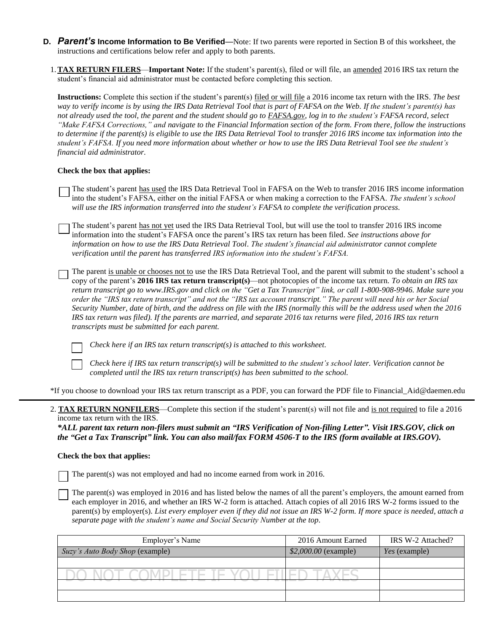- **D.** *Parent's* **Income Information to Be Verified**—Note: If two parents were reported in Section B of this worksheet, the instructions and certifications below refer and apply to both parents.
	- 1.**TAX RETURN FILERS**—**Important Note:** If the student's parent(s), filed or will file, an amended 2016 IRS tax return the student's financial aid administrator must be contacted before completing this section.

**Instructions:** Complete this section if the student's parent(s) filed or will file a 2016 income tax return with the IRS. *The best way to verify income is by using the IRS Data Retrieval Tool that is part of FAFSA on the Web. If the student's parent(s) has not already used the tool, the parent and the student should go to FAFSA.gov, log in to the student's FAFSA record, select "Make FAFSA Corrections," and navigate to the Financial Information section of the form. From there, follow the instructions to determine if the parent(s) is eligible to use the IRS Data Retrieval Tool to transfer 2016 IRS income tax information into the student's FAFSA. If you need more information about whether or how to use the IRS Data Retrieval Tool see the student's financial aid administrator.*

#### **Check the box that applies:**

- The student's parent has used the IRS Data Retrieval Tool in FAFSA on the Web to transfer 2016 IRS income information into the student's FAFSA, either on the initial FAFSA or when making a correction to the FAFSA. *The student's school will use the IRS information transferred into the student's FAFSA to complete the verification process*.
- The student's parent has not yet used the IRS Data Retrieval Tool, but will use the tool to transfer 2016 IRS income information into the student's FAFSA once the parent's IRS tax return has been filed. *See instructions above for information on how to use the IRS Data Retrieval Tool. The student's financial aid administrator cannot complete verification until the parent has transferred IRS information into the student's FAFSA.*
- The parent is unable or chooses not to use the IRS Data Retrieval Tool, and the parent will submit to the student's school a copy of the parent's **2016 IRS tax return transcript(s)**—not photocopies of the income tax return. *To obtain an IRS tax return transcript go to www.IRS.gov and click on the "Get a Tax Transcript" link, or call 1-800-908-9946. Make sure you order the "IRS tax return transcript" and not the "IRS tax account transcript." The parent will need his or her Social Security Number, date of birth, and the address on file with the IRS (normally this will be the address used when the 2016 IRS tax return was filed). If the parents are married, and separate 2016 tax returns were filed, 2016 IRS tax return transcripts must be submitted for each parent.*

*Check here if an IRS tax return transcript(s) is attached to this worksheet.*

*Check here if IRS tax return transcript(s) will be submitted to the student's school later. Verification cannot be completed until the IRS tax return transcript(s) has been submitted to the school.*

\*If you choose to download your IRS tax return transcript as a PDF, you can forward the PDF file to Financial\_Aid@daemen.edu

2. **TAX RETURN NONFILERS**—Complete this section if the student's parent(s) will not file and is not required to file a 2016 income tax return with the IRS.

*\*ALL parent tax return non-filers must submit an "IRS Verification of Non-filing Letter". Visit IRS.GOV, click on the "Get a Tax Transcript" link. You can also mail/fax FORM 4506-T to the IRS (form available at IRS.GOV).*

#### **Check the box that applies:**

The parent(s) was not employed and had no income earned from work in 2016.

The parent(s) was employed in 2016 and has listed below the names of all the parent's employers, the amount earned from each employer in 2016, and whether an IRS W-2 form is attached. Attach copies of all 2016 IRS W-2 forms issued to the parent(s) by employer(s). *List every employer even if they did not issue an IRS W-2 form. If more space is needed, attach a separate page with the student's name and Social Security Number at the top*.

| Employer's Name                 | 2016 Amount Earned   | IRS W-2 Attached? |
|---------------------------------|----------------------|-------------------|
| Suzy's Auto Body Shop (example) | \$2,000.00 (example) | Yes (example)     |
|                                 |                      |                   |
|                                 |                      |                   |
|                                 |                      |                   |
|                                 |                      |                   |